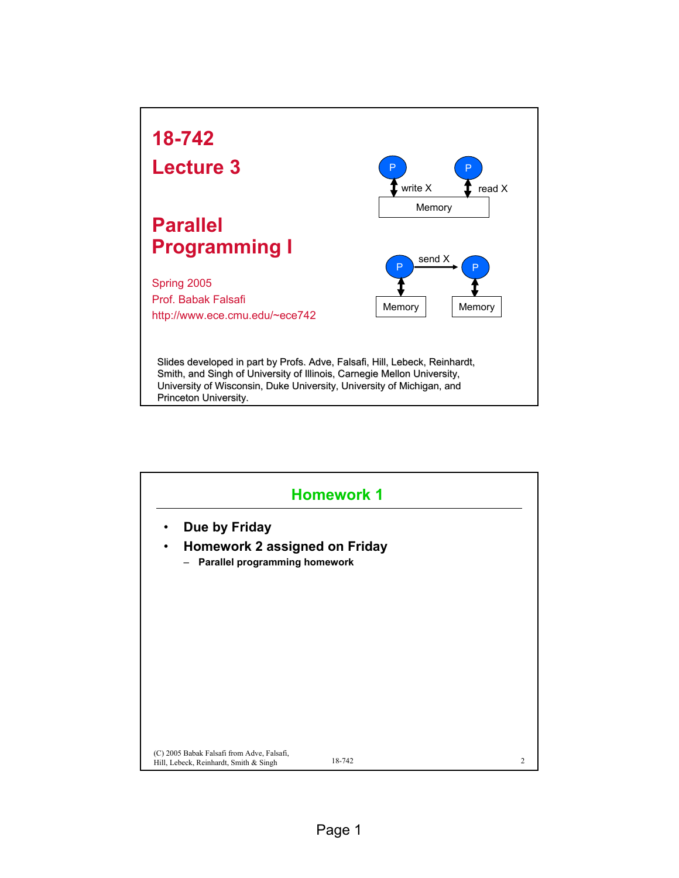

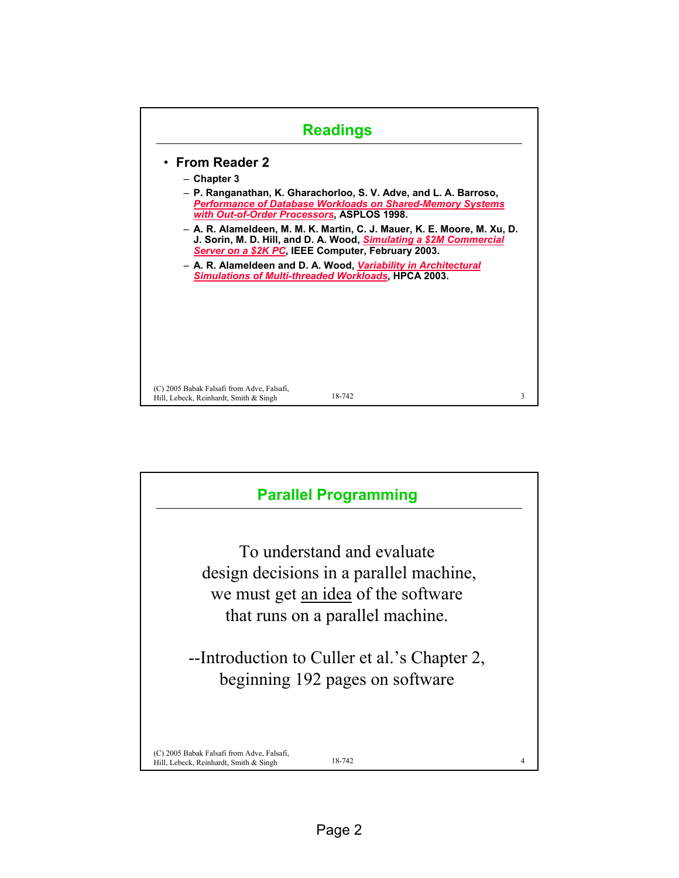

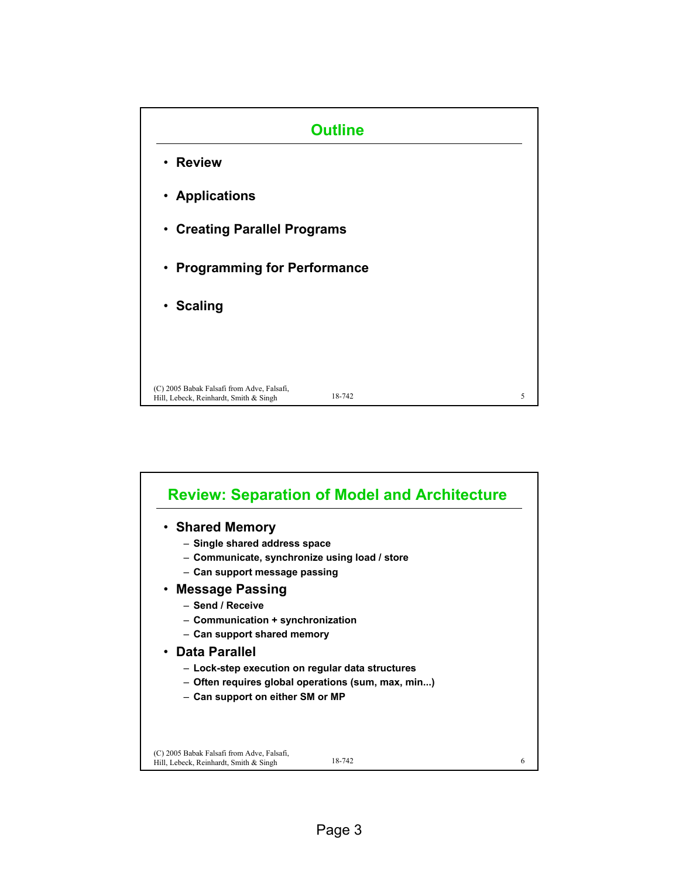

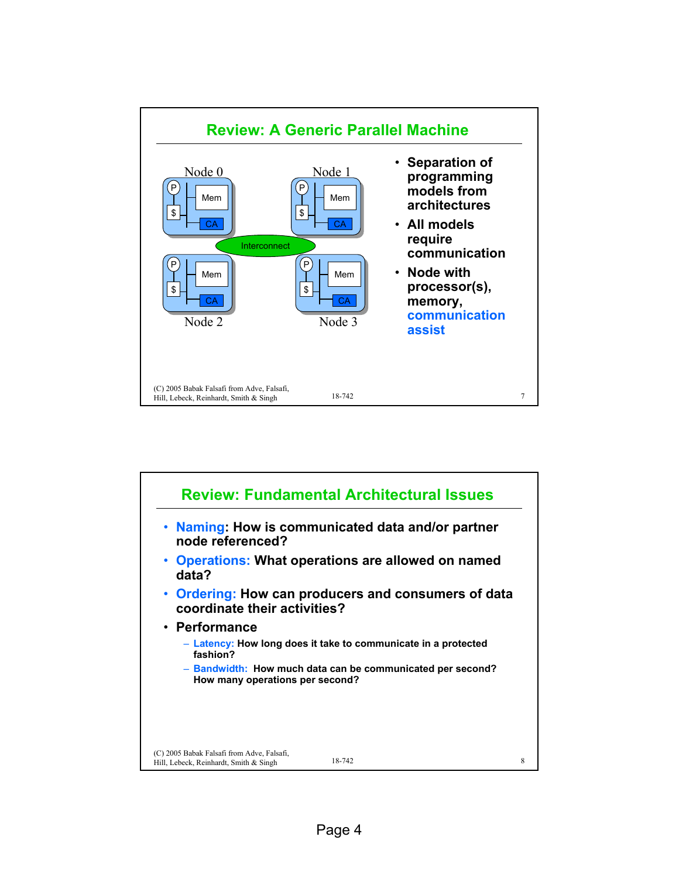

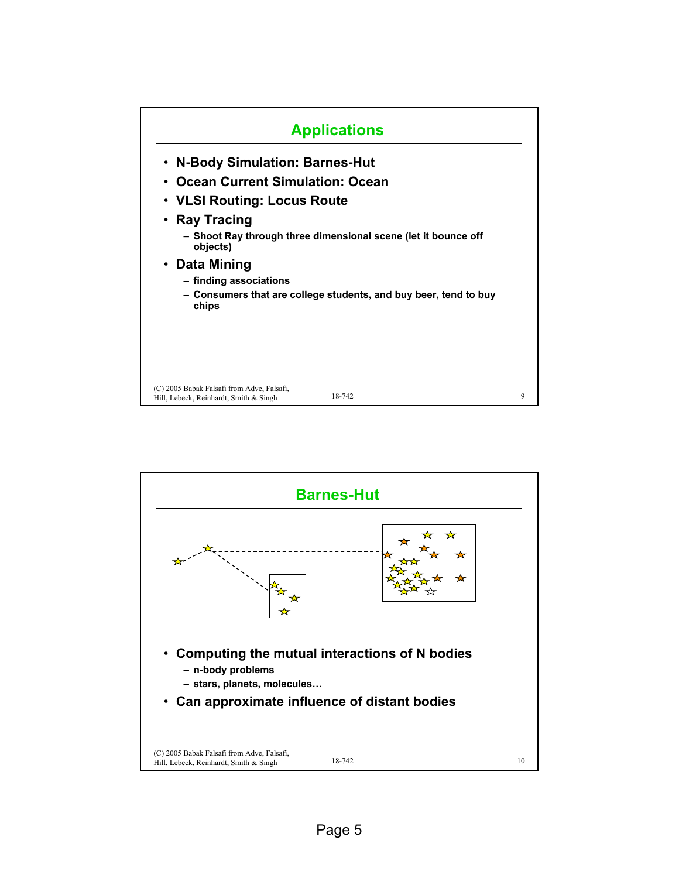

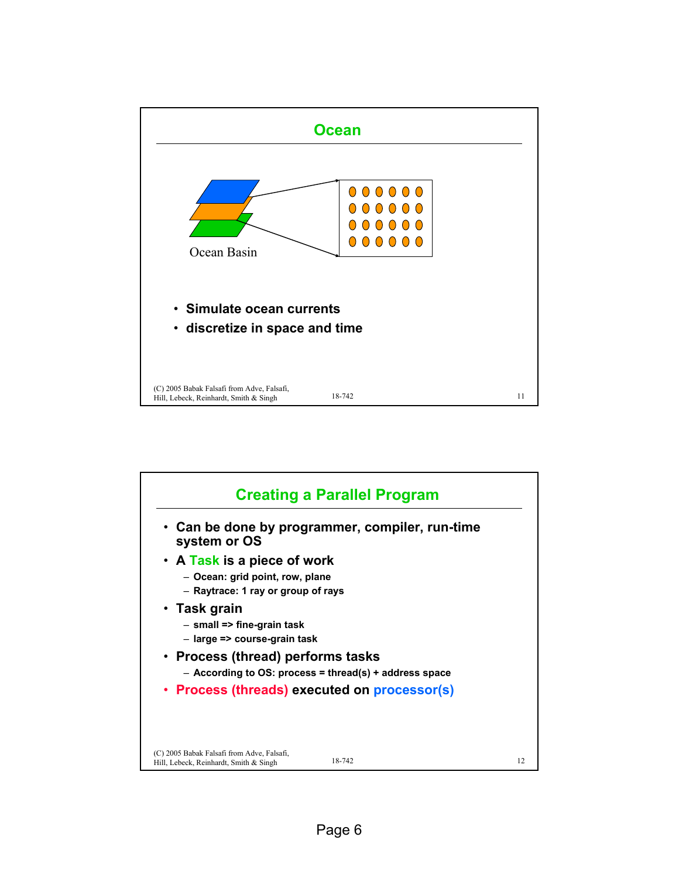

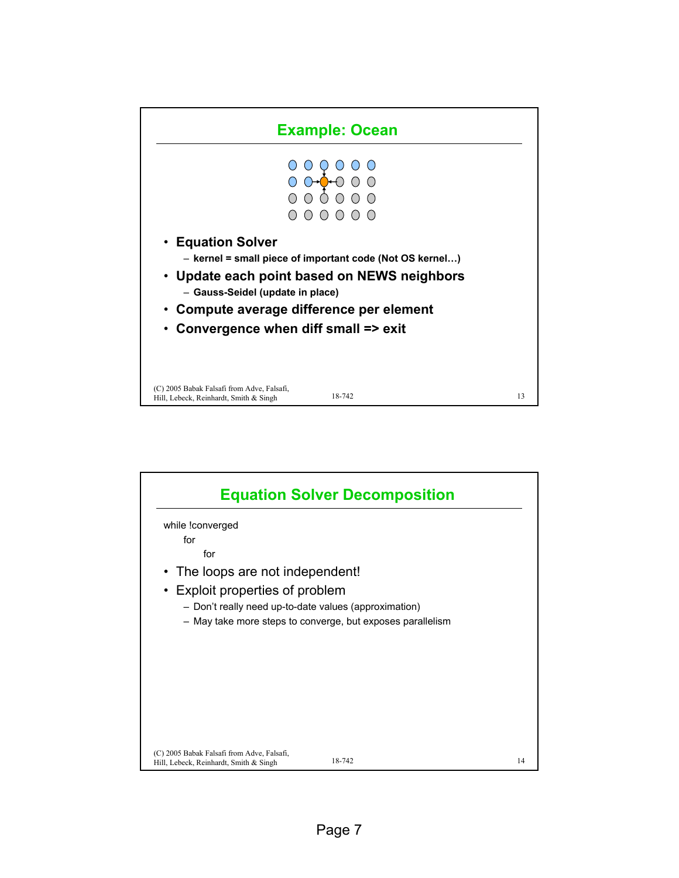

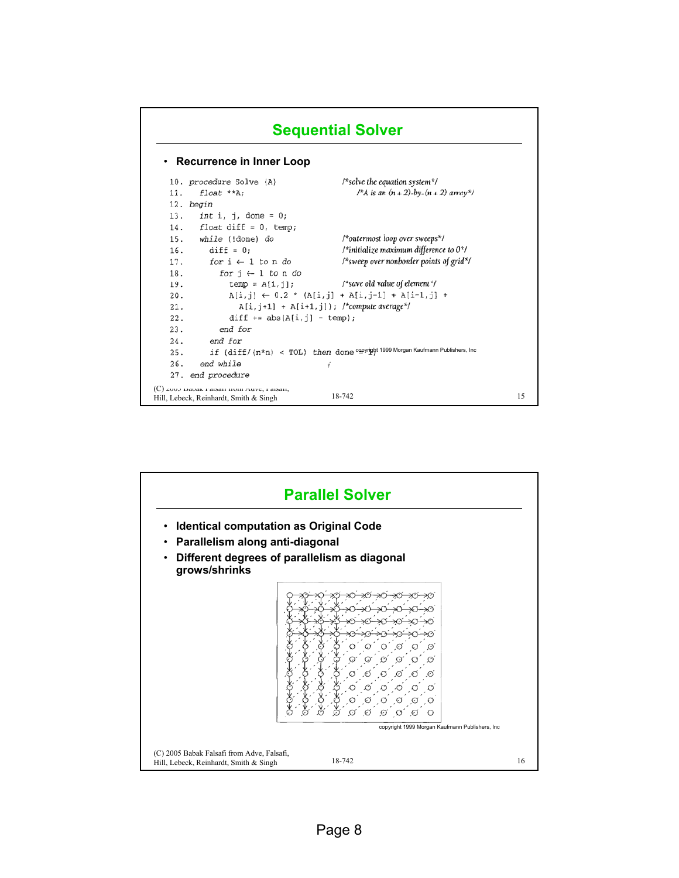

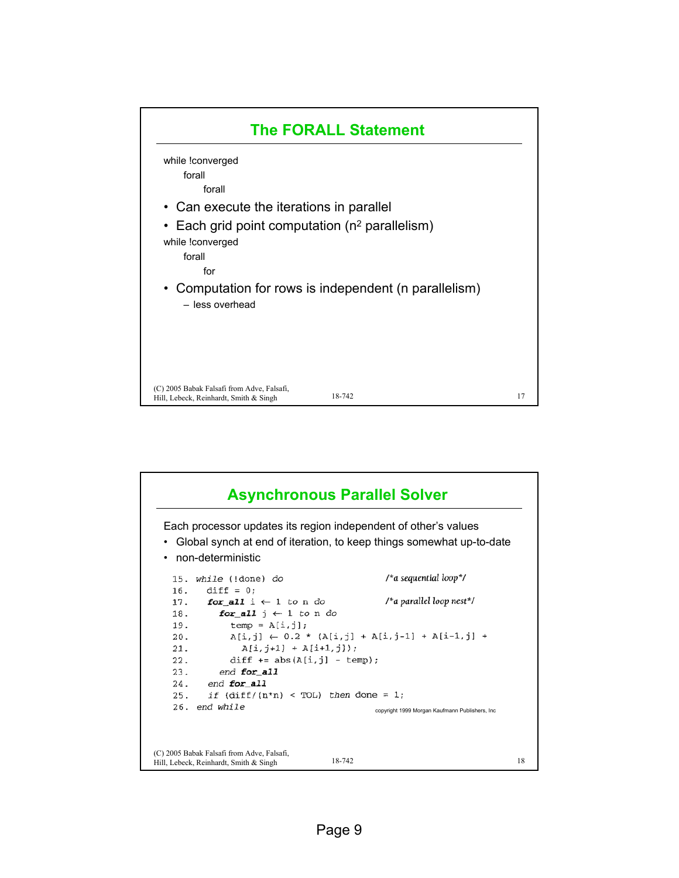

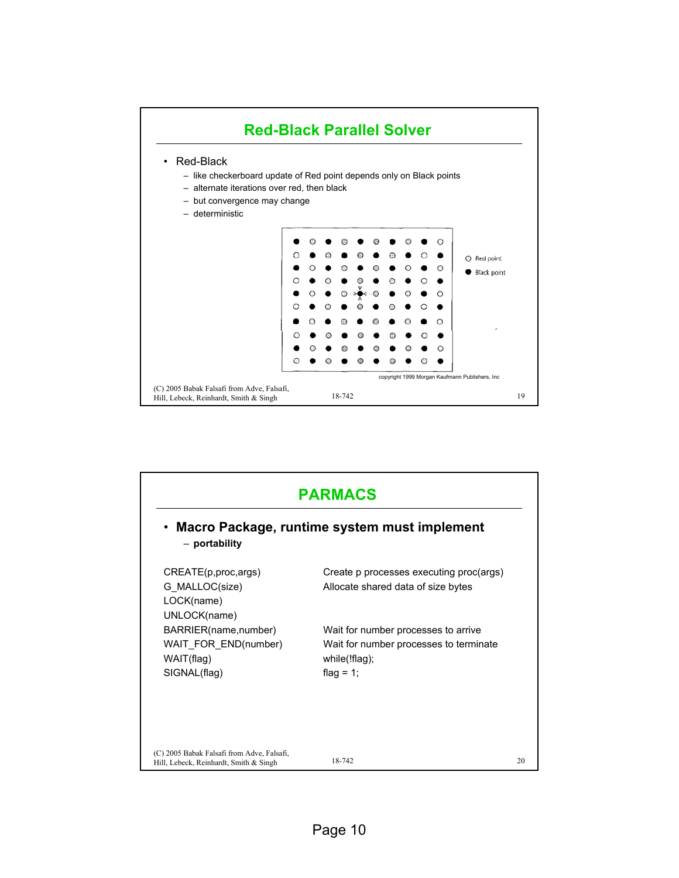

| • Macro Package, runtime system must implement |                                                         |  |  |
|------------------------------------------------|---------------------------------------------------------|--|--|
| - portability                                  |                                                         |  |  |
| CREATE(p, proc, args)                          | Create p processes executing proc(args)                 |  |  |
| G MALLOC(size)                                 | Allocate shared data of size bytes                      |  |  |
| LOCK(name)                                     |                                                         |  |  |
| UNLOCK(name)                                   |                                                         |  |  |
| BARRIER(name,number)                           | Wait for number processes to arrive                     |  |  |
| WAIT FOR END(number)<br>WAIT(flag)             | Wait for number processes to terminate<br>while(!flag); |  |  |
| SIGNAL(flag)                                   | flag = $1$ ;                                            |  |  |
|                                                |                                                         |  |  |
|                                                |                                                         |  |  |
|                                                |                                                         |  |  |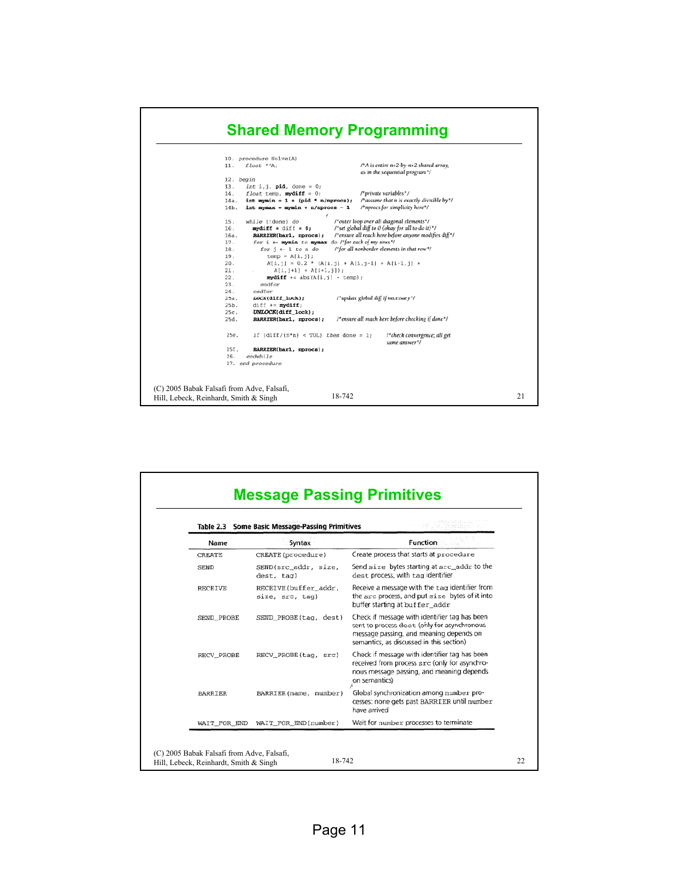## **Shared Memory Programming**



| <b>Some Basic Message-Passing Primitives</b><br>Table 2.3 |                                         |                                                                                                                                                                                     |
|-----------------------------------------------------------|-----------------------------------------|-------------------------------------------------------------------------------------------------------------------------------------------------------------------------------------|
| Name                                                      | Syntax                                  | <b>Function</b>                                                                                                                                                                     |
| CREATE                                                    | CREATE (procedure)                      | Create process that starts at procedure                                                                                                                                             |
| <b>SEND</b>                                               | SEND(src_addr, size,<br>dest, tag)      | Send size bytes starting at src_addr to the<br>dest process, with tag identifier                                                                                                    |
| <b>RECEIVE</b>                                            | RECEIVE(buffer_addr,<br>size, src, tag) | Receive a message with the tag identifier from<br>the sec process, and put size bytes of it into<br>buffer starting at buffer_addr                                                  |
| SEND_PROBE                                                | SEND PROBE(tag, dest)                   | Check if message with identifier tag has been<br>sent to process dest (only for asynchronous<br>message passing, and meaning depends on<br>semantics, as discussed in this section) |
| RECV_PROBE                                                | RECV_PROBE(tag, src)                    | Check if message with identifier tag has been<br>received from process s.r.c (only for asynchro-<br>nous message passing, and meaning depends<br>on semantics)                      |
| BARRIER                                                   | BARRIER (name, number)                  | Global synchronization among number pro-<br>cesses: none gets past BARRIER until number<br>have arrived                                                                             |
| WAIT_FOR_END                                              | WAIT_FOR_END(number)                    | Wait for number processes to terminate                                                                                                                                              |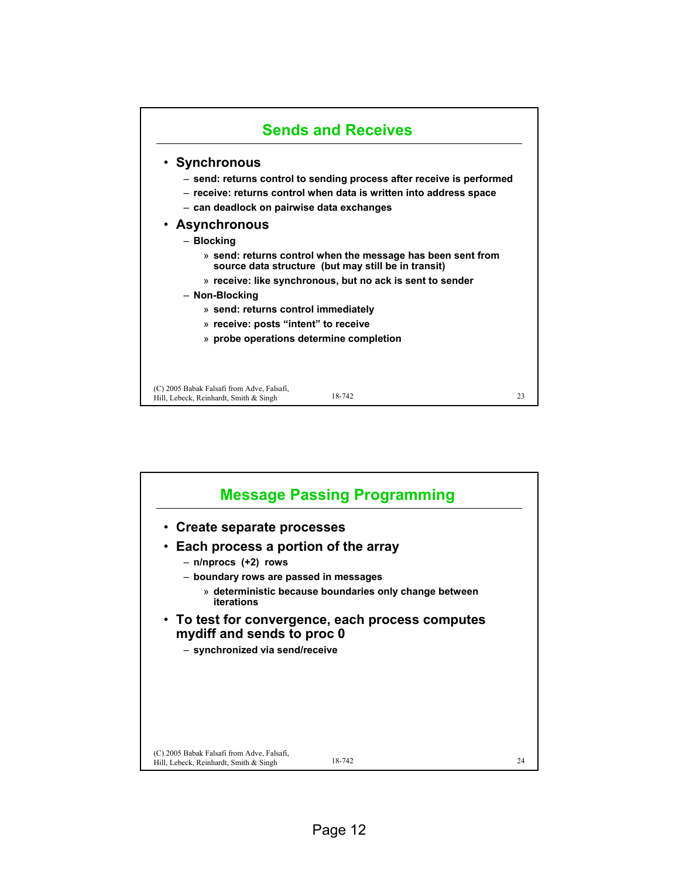

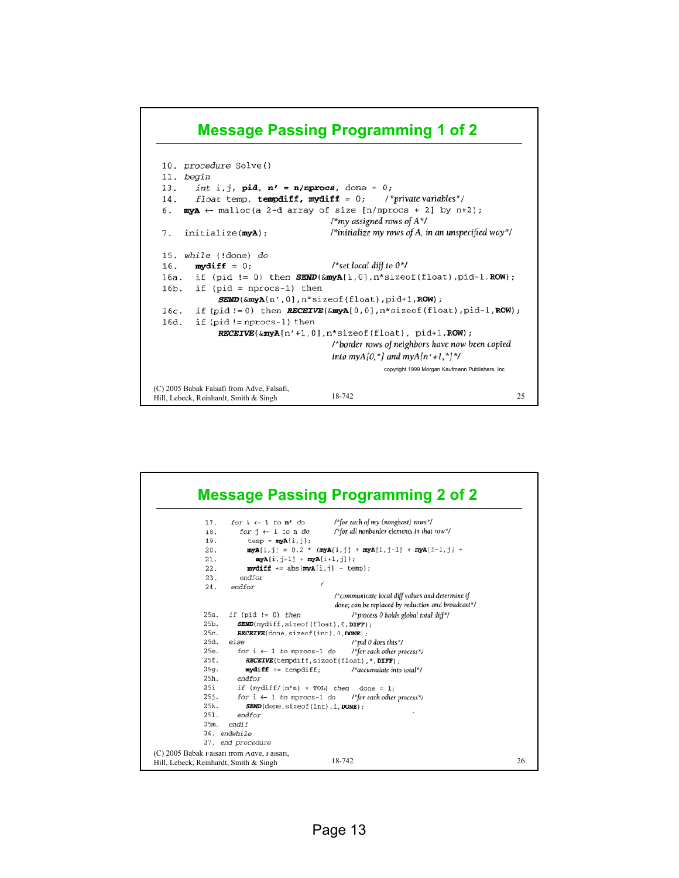## **Message Passing Programming 1 of 2**

```
10. procedure Solve()
 11. begin
 13.int i, j, pid, n' = n/nprocs, done = 0;
         float temp, tempdiff, mydiff = 0;
                                                   /*private variables*/
 14.6.
      myA \leftarrow \text{malloc}(a 2-d \text{ array of size } [n/nprocs + 2] \text{ by } n+2);/*my assigned rows of A^*//*initialize my rows of A, in an unspecified way*/
 7<sub>1</sub>initialize(myA);
 15. while (!done) do
                                         /*set local diff to 0*/
 16.
         mydiff = 0;16a. if (pid != 0) then SEND(\&myA[1,0],n^*sizeof(float),pid-1,ROW);16b. if (pid = nprocs-1) then
              \textit{SEND}(\&myA[n',0],n^* \text{size}of(float), pid+1, ROW);
         if (pid != 0) then RECEIVE(\&myA[0,0],n*sizeof(float),pid-1,ROW);16c.16d.
         if (pid != nprocs-1) then
              RECEIVE(\& myA[n'+1,0], n*sizeof(float), pid+1,ROW);/*border rows of neighbors have now been copied
                                         into myA[0,*] and myA[n'+1,*]*/
                                                     copyright 1999 Morgan Kaufmann Publishers, Inc
(C) 2005 Babak Falsafi from Adve, Falsafi,
                                         18-742 25
Hill, Lebeck, Reinhardt, Smith & Singh
```
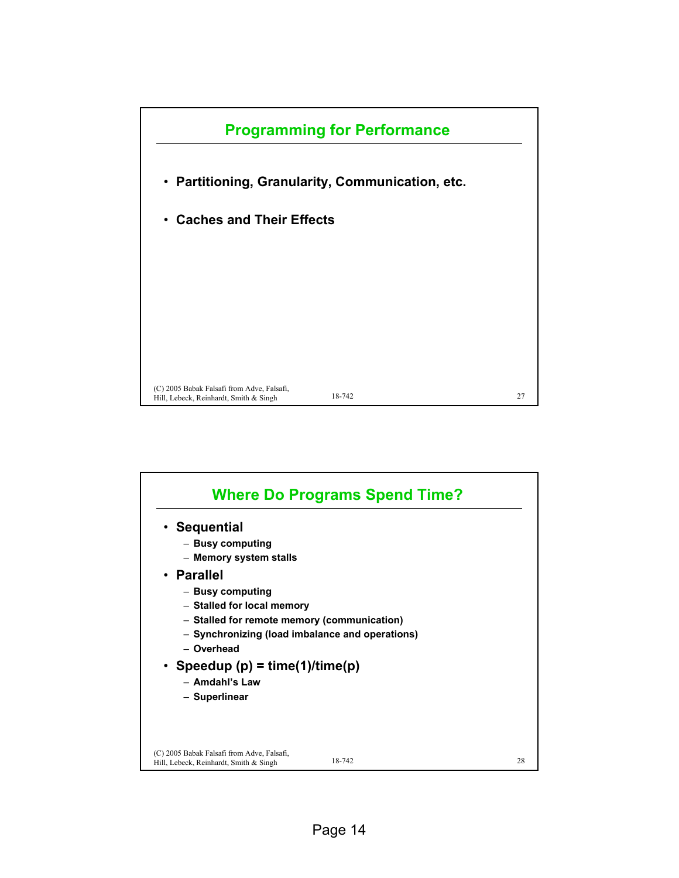

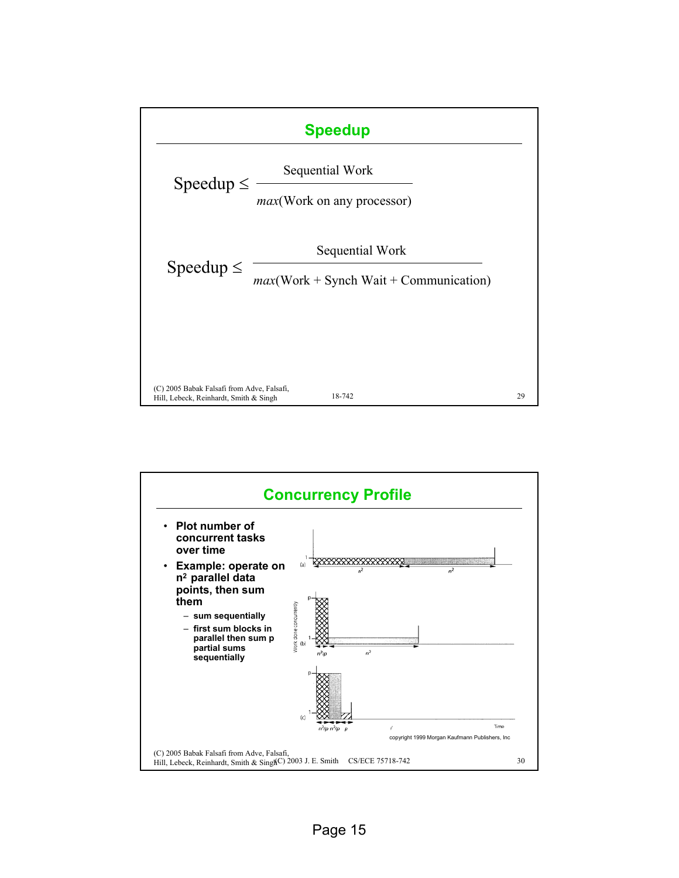

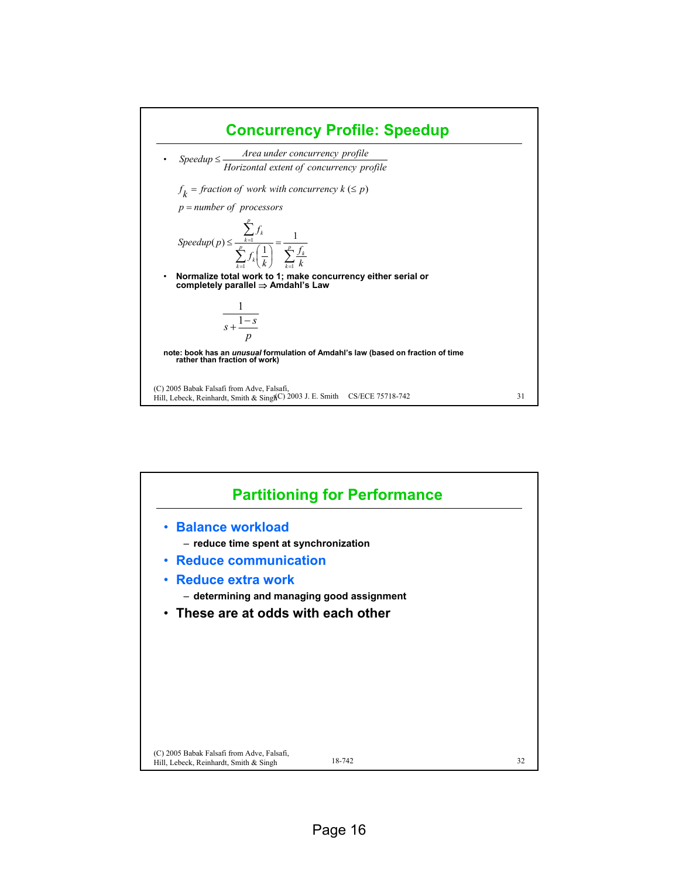

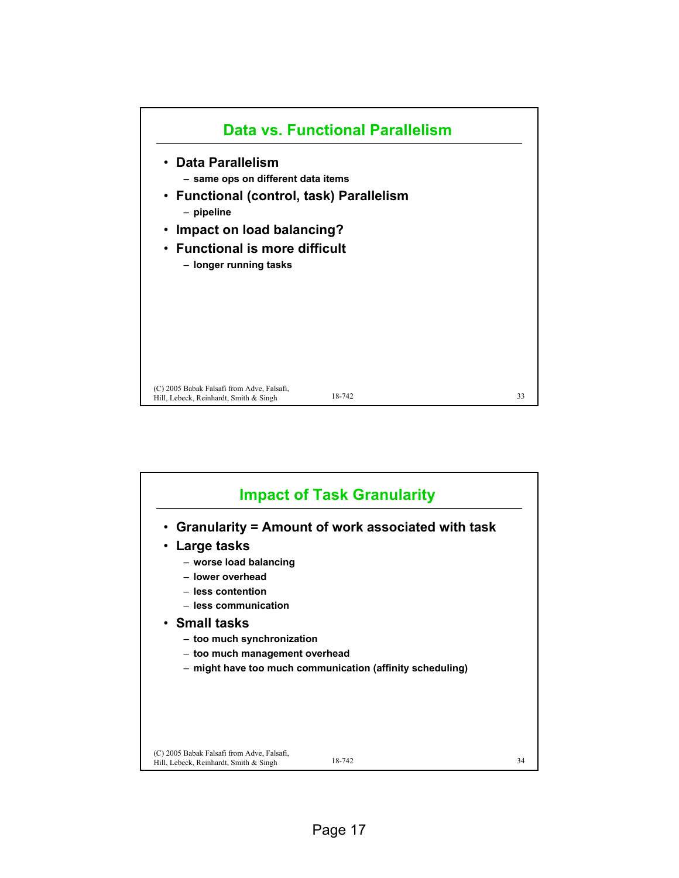

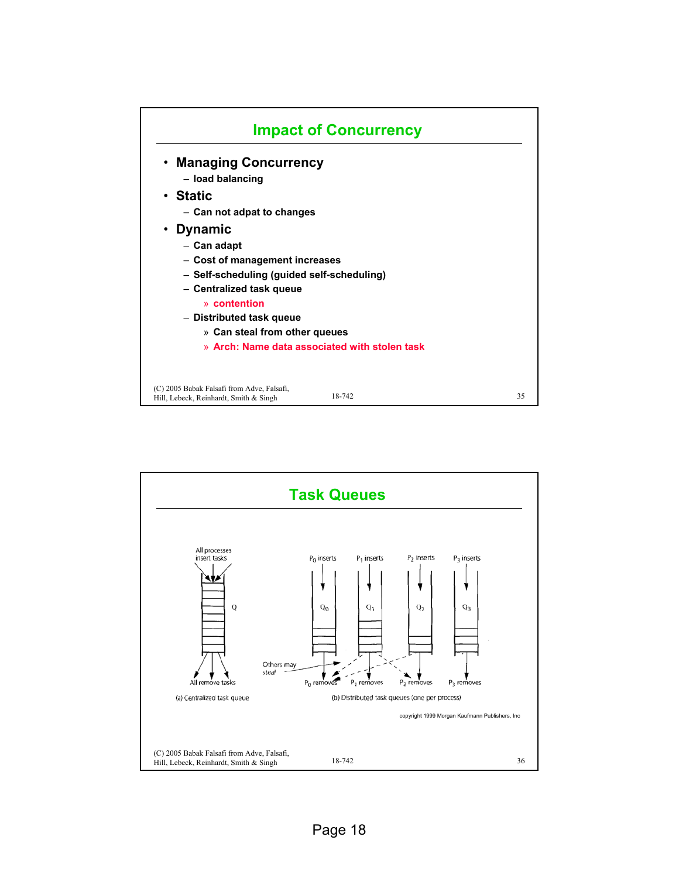